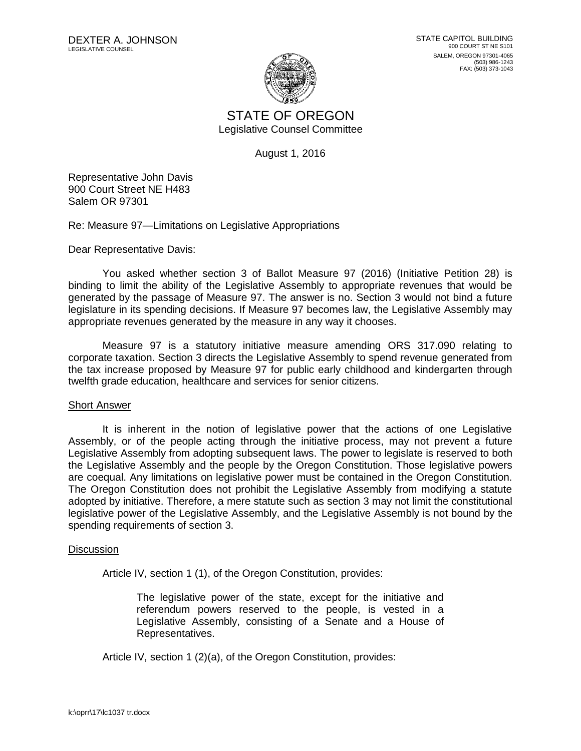

STATE OF OREGON Legislative Counsel Committee

August 1, 2016

Representative John Davis 900 Court Street NE H483 Salem OR 97301

Re: Measure 97—Limitations on Legislative Appropriations

Dear Representative Davis:

You asked whether section 3 of Ballot Measure 97 (2016) (Initiative Petition 28) is binding to limit the ability of the Legislative Assembly to appropriate revenues that would be generated by the passage of Measure 97. The answer is no. Section 3 would not bind a future legislature in its spending decisions. If Measure 97 becomes law, the Legislative Assembly may appropriate revenues generated by the measure in any way it chooses.

Measure 97 is a statutory initiative measure amending ORS 317.090 relating to corporate taxation. Section 3 directs the Legislative Assembly to spend revenue generated from the tax increase proposed by Measure 97 for public early childhood and kindergarten through twelfth grade education, healthcare and services for senior citizens.

## Short Answer

It is inherent in the notion of legislative power that the actions of one Legislative Assembly, or of the people acting through the initiative process, may not prevent a future Legislative Assembly from adopting subsequent laws. The power to legislate is reserved to both the Legislative Assembly and the people by the Oregon Constitution. Those legislative powers are coequal. Any limitations on legislative power must be contained in the Oregon Constitution. The Oregon Constitution does not prohibit the Legislative Assembly from modifying a statute adopted by initiative. Therefore, a mere statute such as section 3 may not limit the constitutional legislative power of the Legislative Assembly, and the Legislative Assembly is not bound by the spending requirements of section 3.

## **Discussion**

Article IV, section 1 (1), of the Oregon Constitution, provides:

The legislative power of the state, except for the initiative and referendum powers reserved to the people, is vested in a Legislative Assembly, consisting of a Senate and a House of Representatives.

Article IV, section 1 (2)(a), of the Oregon Constitution, provides: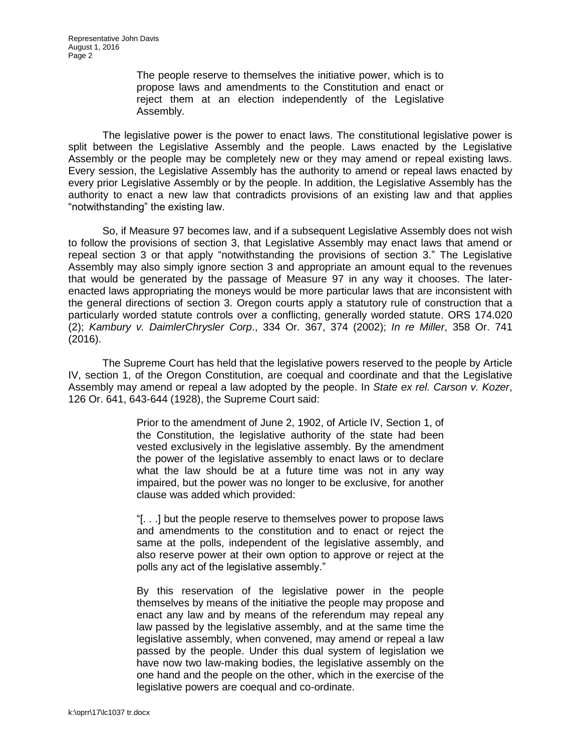The people reserve to themselves the initiative power, which is to propose laws and amendments to the Constitution and enact or reject them at an election independently of the Legislative Assembly.

The legislative power is the power to enact laws. The constitutional legislative power is split between the Legislative Assembly and the people. Laws enacted by the Legislative Assembly or the people may be completely new or they may amend or repeal existing laws. Every session, the Legislative Assembly has the authority to amend or repeal laws enacted by every prior Legislative Assembly or by the people. In addition, the Legislative Assembly has the authority to enact a new law that contradicts provisions of an existing law and that applies "notwithstanding" the existing law.

So, if Measure 97 becomes law, and if a subsequent Legislative Assembly does not wish to follow the provisions of section 3, that Legislative Assembly may enact laws that amend or repeal section 3 or that apply "notwithstanding the provisions of section 3." The Legislative Assembly may also simply ignore section 3 and appropriate an amount equal to the revenues that would be generated by the passage of Measure 97 in any way it chooses. The laterenacted laws appropriating the moneys would be more particular laws that are inconsistent with the general directions of section 3. Oregon courts apply a statutory rule of construction that a particularly worded statute controls over a conflicting, generally worded statute. ORS 174.020 (2); *Kambury v. DaimlerChrysler Corp*., 334 Or. 367, 374 (2002); *In re Miller*, 358 Or. 741 (2016).

The Supreme Court has held that the legislative powers reserved to the people by Article IV, section 1, of the Oregon Constitution, are coequal and coordinate and that the Legislative Assembly may amend or repeal a law adopted by the people. In *State ex rel. Carson v. Kozer*, 126 Or. 641, 643-644 (1928), the Supreme Court said:

> Prior to the amendment of June 2, 1902, of Article IV, Section 1, of the Constitution, the legislative authority of the state had been vested exclusively in the legislative assembly. By the amendment the power of the legislative assembly to enact laws or to declare what the law should be at a future time was not in any way impaired, but the power was no longer to be exclusive, for another clause was added which provided:

> "[. . .] but the people reserve to themselves power to propose laws and amendments to the constitution and to enact or reject the same at the polls, independent of the legislative assembly, and also reserve power at their own option to approve or reject at the polls any act of the legislative assembly."

> By this reservation of the legislative power in the people themselves by means of the initiative the people may propose and enact any law and by means of the referendum may repeal any law passed by the legislative assembly, and at the same time the legislative assembly, when convened, may amend or repeal a law passed by the people. Under this dual system of legislation we have now two law-making bodies, the legislative assembly on the one hand and the people on the other, which in the exercise of the legislative powers are coequal and co-ordinate.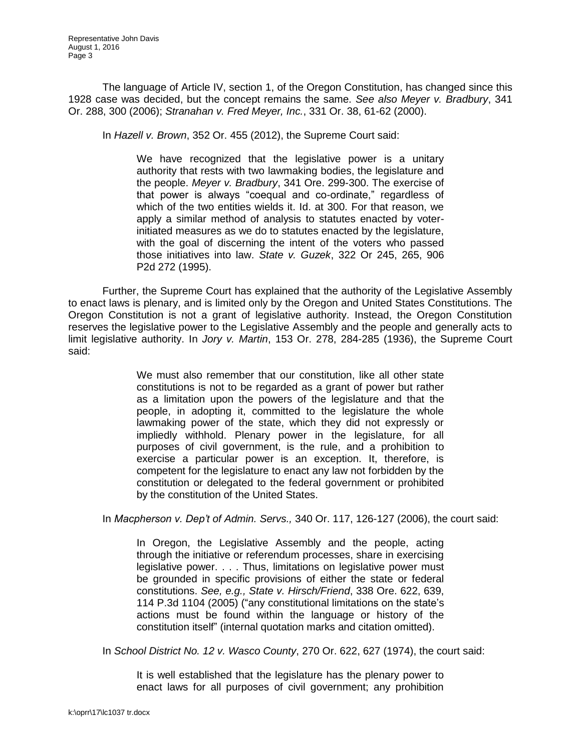The language of Article IV, section 1, of the Oregon Constitution, has changed since this 1928 case was decided, but the concept remains the same. *See also Meyer v. Bradbury*, 341 Or. 288, 300 (2006); *Stranahan v. Fred Meyer, Inc.*, 331 Or. 38, 61-62 (2000).

In *Hazell v. Brown*, 352 Or. 455 (2012), the Supreme Court said:

We have recognized that the legislative power is a unitary authority that rests with two lawmaking bodies, the legislature and the people. *Meyer v. Bradbury*, 341 Ore. 299-300. The exercise of that power is always "coequal and co-ordinate," regardless of which of the two entities wields it. Id. at 300. For that reason, we apply a similar method of analysis to statutes enacted by voterinitiated measures as we do to statutes enacted by the legislature, with the goal of discerning the intent of the voters who passed those initiatives into law. *State v. Guzek*, 322 Or 245, 265, 906 P2d 272 (1995).

Further, the Supreme Court has explained that the authority of the Legislative Assembly to enact laws is plenary, and is limited only by the Oregon and United States Constitutions. The Oregon Constitution is not a grant of legislative authority. Instead, the Oregon Constitution reserves the legislative power to the Legislative Assembly and the people and generally acts to limit legislative authority. In *Jory v. Martin*, 153 Or. 278, 284-285 (1936), the Supreme Court said:

> We must also remember that our constitution, like all other state constitutions is not to be regarded as a grant of power but rather as a limitation upon the powers of the legislature and that the people, in adopting it, committed to the legislature the whole lawmaking power of the state, which they did not expressly or impliedly withhold. Plenary power in the legislature, for all purposes of civil government, is the rule, and a prohibition to exercise a particular power is an exception. It, therefore, is competent for the legislature to enact any law not forbidden by the constitution or delegated to the federal government or prohibited by the constitution of the United States.

In *Macpherson v. Dep't of Admin. Servs.,* 340 Or. 117, 126-127 (2006), the court said:

In Oregon, the Legislative Assembly and the people, acting through the initiative or referendum processes, share in exercising legislative power. . . . Thus, limitations on legislative power must be grounded in specific provisions of either the state or federal constitutions. *See, e.g., State v. Hirsch/Friend*, 338 Ore. 622, 639, 114 P.3d 1104 (2005) ("any constitutional limitations on the state's actions must be found within the language or history of the constitution itself" (internal quotation marks and citation omitted).

In *School District No. 12 v. Wasco County*, 270 Or. 622, 627 (1974), the court said:

It is well established that the legislature has the plenary power to enact laws for all purposes of civil government; any prohibition